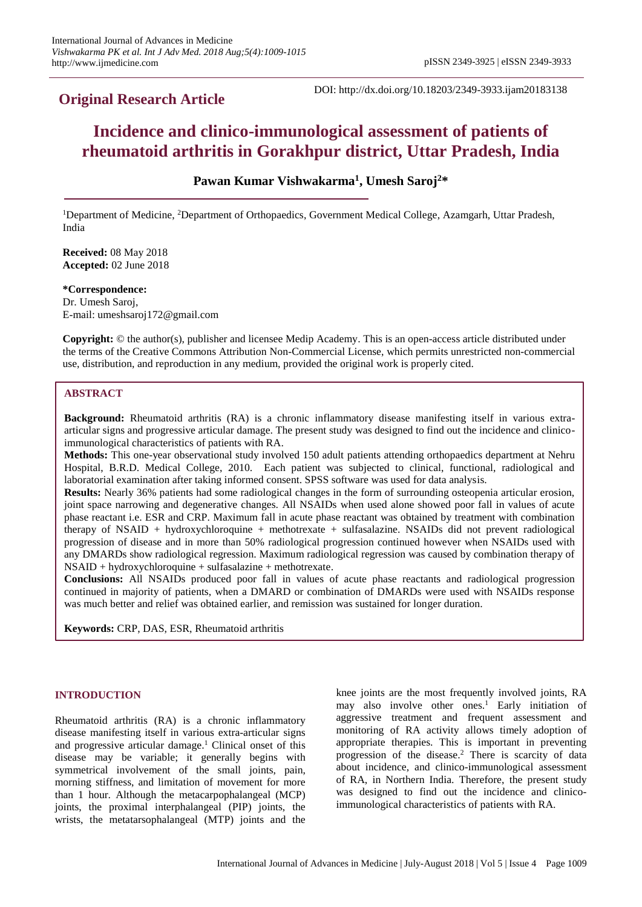## **Original Research Article**

DOI: http://dx.doi.org/10.18203/2349-3933.ijam20183138

# **Incidence and clinico-immunological assessment of patients of rheumatoid arthritis in Gorakhpur district, Uttar Pradesh, India**

**Pawan Kumar Vishwakarma<sup>1</sup> , Umesh Saroj<sup>2</sup>\***

<sup>1</sup>Department of Medicine, <sup>2</sup>Department of Orthopaedics, Government Medical College, Azamgarh, Uttar Pradesh, India

**Received:** 08 May 2018 **Accepted:** 02 June 2018

**\*Correspondence:** Dr. Umesh Saroj, E-mail: umeshsaroj172@gmail.com

**Copyright:** © the author(s), publisher and licensee Medip Academy. This is an open-access article distributed under the terms of the Creative Commons Attribution Non-Commercial License, which permits unrestricted non-commercial use, distribution, and reproduction in any medium, provided the original work is properly cited.

## **ABSTRACT**

**Background:** Rheumatoid arthritis (RA) is a chronic inflammatory disease manifesting itself in various extraarticular signs and progressive articular damage. The present study was designed to find out the incidence and clinicoimmunological characteristics of patients with RA.

**Methods:** This one-year observational study involved 150 adult patients attending orthopaedics department at Nehru Hospital, B.R.D. Medical College, 2010. Each patient was subjected to clinical, functional, radiological and laboratorial examination after taking informed consent. SPSS software was used for data analysis.

**Results:** Nearly 36% patients had some radiological changes in the form of surrounding osteopenia articular erosion, joint space narrowing and degenerative changes. All NSAIDs when used alone showed poor fall in values of acute phase reactant i.e. ESR and CRP. Maximum fall in acute phase reactant was obtained by treatment with combination therapy of NSAID + hydroxychloroquine + methotrexate + sulfasalazine. NSAIDs did not prevent radiological progression of disease and in more than 50% radiological progression continued however when NSAIDs used with any DMARDs show radiological regression. Maximum radiological regression was caused by combination therapy of NSAID + hydroxychloroquine + sulfasalazine + methotrexate.

**Conclusions:** All NSAIDs produced poor fall in values of acute phase reactants and radiological progression continued in majority of patients, when a DMARD or combination of DMARDs were used with NSAIDs response was much better and relief was obtained earlier, and remission was sustained for longer duration.

**Keywords:** CRP, DAS, ESR, Rheumatoid arthritis

## **INTRODUCTION**

Rheumatoid arthritis (RA) is a chronic inflammatory disease manifesting itself in various extra-articular signs and progressive articular damage.<sup>1</sup> Clinical onset of this disease may be variable; it generally begins with symmetrical involvement of the small joints, pain, morning stiffness, and limitation of movement for more than 1 hour. Although the metacarpophalangeal (MCP) joints, the proximal interphalangeal (PIP) joints, the wrists, the metatarsophalangeal (MTP) joints and the knee joints are the most frequently involved joints, RA may also involve other ones.<sup>1</sup> Early initiation of aggressive treatment and frequent assessment and monitoring of RA activity allows timely adoption of appropriate therapies. This is important in preventing progression of the disease.<sup>2</sup> There is scarcity of data about incidence, and clinico-immunological assessment of RA, in Northern India. Therefore, the present study was designed to find out the incidence and clinicoimmunological characteristics of patients with RA.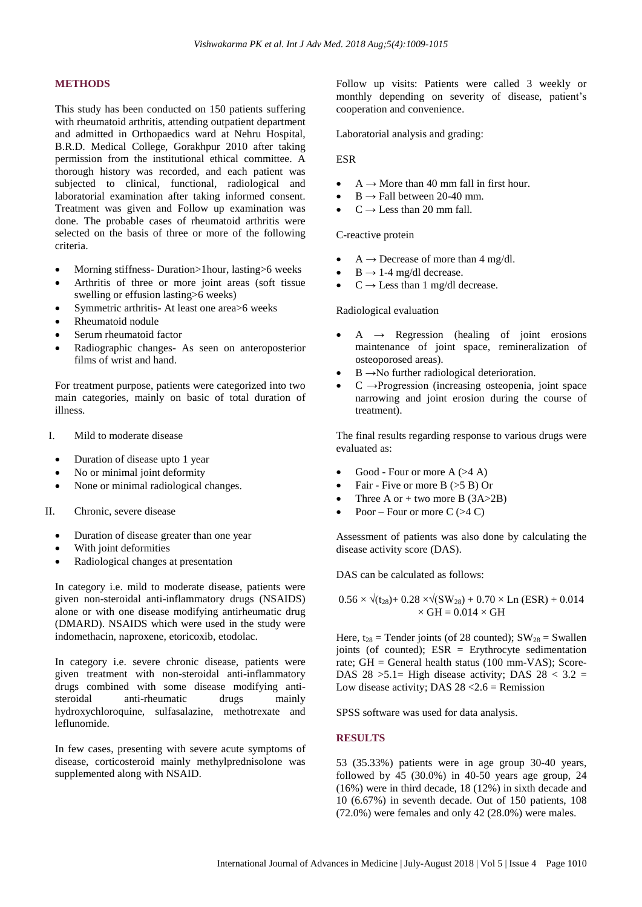#### **METHODS**

This study has been conducted on 150 patients suffering with rheumatoid arthritis, attending outpatient department and admitted in Orthopaedics ward at Nehru Hospital, B.R.D. Medical College, Gorakhpur 2010 after taking permission from the institutional ethical committee. A thorough history was recorded, and each patient was subjected to clinical, functional, radiological and laboratorial examination after taking informed consent. Treatment was given and Follow up examination was done. The probable cases of rheumatoid arthritis were selected on the basis of three or more of the following criteria.

- Morning stiffness- Duration>1hour, lasting>6 weeks
- Arthritis of three or more joint areas (soft tissue swelling or effusion lasting>6 weeks)
- Symmetric arthritis- At least one area>6 weeks
- Rheumatoid nodule
- Serum rheumatoid factor
- Radiographic changes- As seen on anteroposterior films of wrist and hand.

For treatment purpose, patients were categorized into two main categories, mainly on basic of total duration of illness.

- I. Mild to moderate disease
	- Duration of disease upto 1 year
	- No or minimal joint deformity
	- None or minimal radiological changes.
- II. Chronic, severe disease
	- Duration of disease greater than one year
	- With joint deformities
	- Radiological changes at presentation

In category i.e. mild to moderate disease, patients were given non-steroidal anti-inflammatory drugs (NSAIDS) alone or with one disease modifying antirheumatic drug (DMARD). NSAIDS which were used in the study were indomethacin, naproxene, etoricoxib, etodolac.

In category i.e. severe chronic disease, patients were given treatment with non-steroidal anti-inflammatory drugs combined with some disease modifying antisteroidal anti-rheumatic drugs mainly hydroxychloroquine, sulfasalazine, methotrexate and leflunomide.

In few cases, presenting with severe acute symptoms of disease, corticosteroid mainly methylprednisolone was supplemented along with NSAID.

Follow up visits: Patients were called 3 weekly or monthly depending on severity of disease, patient's cooperation and convenience.

Laboratorial analysis and grading:

ESR

- $A \rightarrow$  More than 40 mm fall in first hour.
- $B \rightarrow$  Fall between 20-40 mm.
- $C \rightarrow$  Less than 20 mm fall.

C-reactive protein

- $A \rightarrow$  Decrease of more than 4 mg/dl.
- $B \rightarrow 1-4$  mg/dl decrease.
- $C \rightarrow$  Less than 1 mg/dl decrease.

Radiological evaluation

- $A \rightarrow$  Regression (healing of joint erosions maintenance of joint space, remineralization of osteoporosed areas).
- $B \rightarrow No$  further radiological deterioration.
- $C \rightarrow$ Progression (increasing osteopenia, joint space narrowing and joint erosion during the course of treatment).

The final results regarding response to various drugs were evaluated as:

- Good Four or more  $A$  (>4 A)
- Fair Five or more  $B \leq 5 B$ ) Or
- Three A or  $+$  two more B (3A>2B)
- Poor Four or more  $C$  (>4 C)

Assessment of patients was also done by calculating the disease activity score (DAS).

DAS can be calculated as follows:

 $0.56 \times \sqrt{(t_{28})+ 0.28 \times \sqrt{(SW_{28})+ 0.70 \times Ln (ESR) + 0.014}}$  $\times$  GH = 0.014  $\times$  GH

Here,  $t_{28}$  = Tender joints (of 28 counted);  $SW_{28}$  = Swallen joints (of counted); ESR = Erythrocyte sedimentation rate; GH = General health status (100 mm-VAS); Score-DAS  $28 > 5.1$  High disease activity; DAS  $28 < 3.2$  = Low disease activity; DAS  $28 < 2.6$  = Remission

SPSS software was used for data analysis.

#### **RESULTS**

53 (35.33%) patients were in age group 30-40 years, followed by  $\overline{45}$  (30.0%) in 40-50 years age group, 24 (16%) were in third decade, 18 (12%) in sixth decade and 10 (6.67%) in seventh decade. Out of 150 patients, 108 (72.0%) were females and only 42 (28.0%) were males.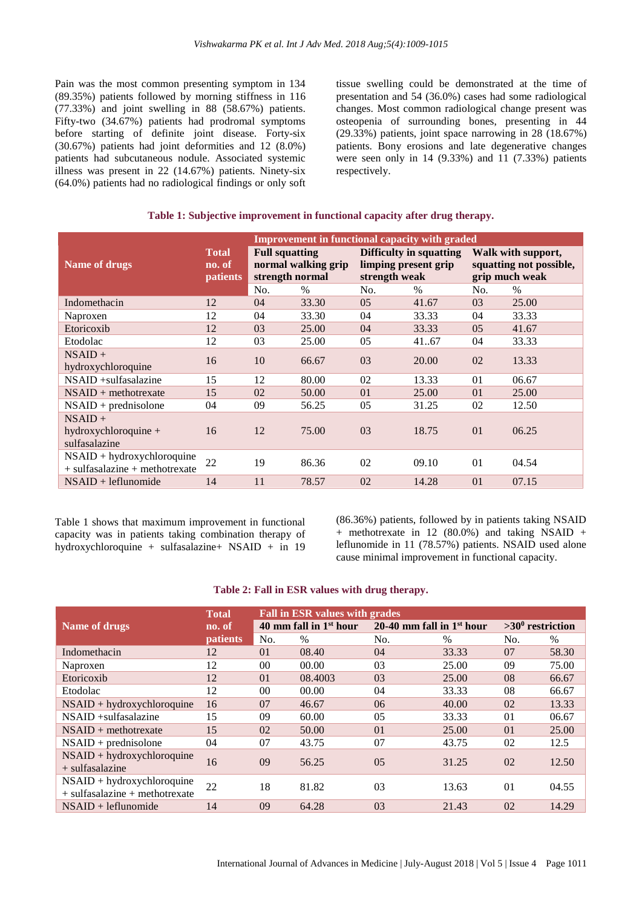Pain was the most common presenting symptom in 134 (89.35%) patients followed by morning stiffness in 116 (77.33%) and joint swelling in 88 (58.67%) patients. Fifty-two (34.67%) patients had prodromal symptoms before starting of definite joint disease. Forty-six (30.67%) patients had joint deformities and 12 (8.0%) patients had subcutaneous nodule. Associated systemic illness was present in 22 (14.67%) patients. Ninety-six (64.0%) patients had no radiological findings or only soft tissue swelling could be demonstrated at the time of presentation and 54 (36.0%) cases had some radiological changes. Most common radiological change present was osteopenia of surrounding bones, presenting in 44 (29.33%) patients, joint space narrowing in 28 (18.67%) patients. Bony erosions and late degenerative changes were seen only in 14 (9.33%) and 11 (7.33%) patients respectively.

#### **Table 1: Subjective improvement in functional capacity after drug therapy.**

|                                                                    | <b>Improvement in functional capacity with graded</b> |                                                                 |       |                                                                  |               |                                                                 |       |
|--------------------------------------------------------------------|-------------------------------------------------------|-----------------------------------------------------------------|-------|------------------------------------------------------------------|---------------|-----------------------------------------------------------------|-------|
| Name of drugs                                                      | <b>Total</b><br>no. of<br><b>patients</b>             | <b>Full squatting</b><br>normal walking grip<br>strength normal |       | Difficulty in squatting<br>limping present grip<br>strength weak |               | Walk with support,<br>squatting not possible,<br>grip much weak |       |
|                                                                    |                                                       | No.                                                             | $\%$  | No.                                                              | $\frac{0}{0}$ | No.                                                             | $\%$  |
| Indomethacin                                                       | 12                                                    | 04                                                              | 33.30 | 0.5                                                              | 41.67         | 03                                                              | 25.00 |
| Naproxen                                                           | 12                                                    | 04                                                              | 33.30 | 04                                                               | 33.33         | 04                                                              | 33.33 |
| Etoricoxib                                                         | 12                                                    | 03                                                              | 25.00 | 04                                                               | 33.33         | 0.5                                                             | 41.67 |
| Etodolac                                                           | 12                                                    | 03                                                              | 25.00 | 05                                                               | 4167          | 04                                                              | 33.33 |
| $NSAID +$<br>hydroxychloroquine                                    | 16                                                    | 10                                                              | 66.67 | 03                                                               | 20.00         | 02                                                              | 13.33 |
| $NSAID + sulfasalazine$                                            | 15                                                    | 12                                                              | 80.00 | 02                                                               | 13.33         | 01                                                              | 06.67 |
| $NSAID + method$ rexate                                            | 15                                                    | 02                                                              | 50.00 | 01                                                               | 25.00         | 0 <sup>1</sup>                                                  | 25.00 |
| $NSAID + prednisolone$                                             | 04                                                    | 09                                                              | 56.25 | 05                                                               | 31.25         | 02                                                              | 12.50 |
| $NSAID +$<br>hydroxychloroquine $+$<br>sulfasalazine               | 16                                                    | 12                                                              | 75.00 | 03                                                               | 18.75         | 01                                                              | 06.25 |
| $NSAID + hydroxychloroquire$<br>$+$ sulfasalazine $+$ methotrexate | 22                                                    | 19                                                              | 86.36 | 02                                                               | 09.10         | 01                                                              | 04.54 |
| $NSAID + leftunomide$                                              | 14                                                    | 11                                                              | 78.57 | 02                                                               | 14.28         | 01                                                              | 07.15 |

Table 1 shows that maximum improvement in functional capacity was in patients taking combination therapy of hydroxychloroquine + sulfasalazine+ NSAID + in 19 (86.36%) patients, followed by in patients taking NSAID + methotrexate in 12 (80.0%) and taking NSAID + leflunomide in 11 (78.57%) patients. NSAID used alone cause minimal improvement in functional capacity.

#### **Table 2: Fall in ESR values with drug therapy.**

|                                    | <b>Total</b>    | <b>Fall in ESR values with grades</b> |         |                             |       |                     |               |  |  |
|------------------------------------|-----------------|---------------------------------------|---------|-----------------------------|-------|---------------------|---------------|--|--|
| Name of drugs                      | no. of          | 40 mm fall in $1st$ hour              |         | 20-40 mm fall in $1st$ hour |       | $>30^0$ restriction |               |  |  |
|                                    | <i>patients</i> | No.                                   | $\%$    | No.                         | $\%$  | No.                 | $\frac{0}{0}$ |  |  |
| Indomethacin                       | 12              | 0 <sub>1</sub>                        | 08.40   | 04                          | 33.33 | 07                  | 58.30         |  |  |
| Naproxen                           | 12              | 00                                    | 00.00   | 03                          | 25.00 | 09                  | 75.00         |  |  |
| Etoricoxib                         | 12              | 01                                    | 08.4003 | 03                          | 25.00 | 08                  | 66.67         |  |  |
| Etodolac                           | 12              | 0 <sup>0</sup>                        | 00.00   | 04                          | 33.33 | 08                  | 66.67         |  |  |
| $NSAID + hydroxychloroquire$       | 16              | 07                                    | 46.67   | 06                          | 40.00 | 02                  | 13.33         |  |  |
| NSAID +sulfasalazine               | 15              | 09                                    | 60.00   | 05                          | 33.33 | 01                  | 06.67         |  |  |
| $NSAID + method$ rexate            | 15              | 02                                    | 50.00   | 0 <sub>1</sub>              | 25.00 | 0 <sub>1</sub>      | 25.00         |  |  |
| $NSAID + prednisolone$             | 04              | 07                                    | 43.75   | 07                          | 43.75 | 02                  | 12.5          |  |  |
| $NSAID + hydroxychloroquire$       | 16              | 09                                    | 56.25   | 05                          | 31.25 | 02                  | 12.50         |  |  |
| $+$ sulfasalazine                  |                 |                                       |         |                             |       |                     |               |  |  |
| $NSAID + hydroxychloroquire$       | 22              | 18                                    | 81.82   | 03                          | 13.63 | 01                  | 04.55         |  |  |
| $+$ sulfasalazine $+$ methotrexate |                 |                                       |         |                             |       |                     |               |  |  |
| $NSAID + leftunomide$              | 14              | 09                                    | 64.28   | 03                          | 21.43 | 02                  | 14.29         |  |  |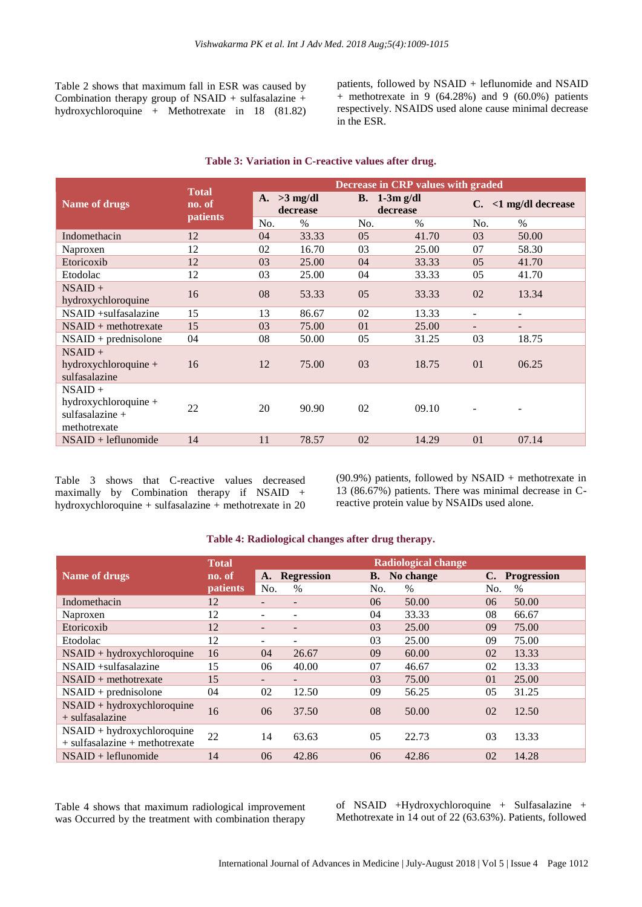Table 2 shows that maximum fall in ESR was caused by Combination therapy group of NSAID + sulfasalazine + hydroxychloroquine + Methotrexate in 18 (81.82) patients, followed by NSAID + leflunomide and NSAID + methotrexate in 9 (64.28%) and 9 (60.0%) patients respectively. NSAIDS used alone cause minimal decrease in the ESR.

|                                                             | <b>Total</b><br>no. of<br>patients | Decrease in CRP values with graded  |               |                |                            |                          |                            |  |  |
|-------------------------------------------------------------|------------------------------------|-------------------------------------|---------------|----------------|----------------------------|--------------------------|----------------------------|--|--|
| <b>Name of drugs</b>                                        |                                    | $>3$ mg/dl<br><b>A.</b><br>decrease |               |                | B. $1-3m$ g/dl<br>decrease |                          | $\langle$ 1 mg/dl decrease |  |  |
|                                                             |                                    | No.                                 | $\frac{0}{0}$ | No.            | $\%$                       | No.                      | $\%$                       |  |  |
| Indomethacin                                                | 12                                 | 04                                  | 33.33         | 0.5            | 41.70                      | 03                       | 50.00                      |  |  |
| Naproxen                                                    | 12                                 | 02                                  | 16.70         | 03             | 25.00                      | 07                       | 58.30                      |  |  |
| Etoricoxib                                                  | 12                                 | 03                                  | 25.00         | 04             | 33.33                      | 0.5                      | 41.70                      |  |  |
| Etodolac                                                    | 12                                 | 03                                  | 25.00         | 04             | 33.33                      | 05                       | 41.70                      |  |  |
| $NSAID +$<br>hydroxychloroquine                             | 16                                 | 08                                  | 53.33         | 05             | 33.33                      | 02                       | 13.34                      |  |  |
| $NSAID + sulfasalazine$                                     | 15                                 | 13                                  | 86.67         | 02             | 13.33                      |                          |                            |  |  |
| $NSAID + method$ rexate                                     | 15                                 | 03                                  | 75.00         | 0 <sub>1</sub> | 25.00                      | $\overline{\phantom{0}}$ | $\overline{\phantom{a}}$   |  |  |
| $NSAID + prednisolone$                                      | 04                                 | 08                                  | 50.00         | 0 <sub>5</sub> | 31.25                      | 03                       | 18.75                      |  |  |
| $NSAID +$<br>hydroxychloroquine $+$<br>sulfasalazine        | 16                                 | 12                                  | 75.00         | 03             | 18.75                      | 0 <sub>1</sub>           | 06.25                      |  |  |
| $NSAID +$                                                   |                                    |                                     |               |                |                            |                          |                            |  |  |
| hydroxychloroquine $+$<br>sulfasalazine $+$<br>methotrexate | 22                                 | 20                                  | 90.90         | 02             | 09.10                      |                          |                            |  |  |
| $NSAID + leftunomide$                                       | 14                                 | 11                                  | 78.57         | 02             | 14.29                      | 01                       | 07.14                      |  |  |

#### **Table 3: Variation in C-reactive values after drug.**

Table 3 shows that C-reactive values decreased maximally by Combination therapy if NSAID + hydroxychloroquine + sulfasalazine + methotrexate in 20 (90.9%) patients, followed by NSAID + methotrexate in 13 (86.67%) patients. There was minimal decrease in Creactive protein value by NSAIDs used alone.

|                                                                    | Radiological change |                          |                          |     |               |                |                    |
|--------------------------------------------------------------------|---------------------|--------------------------|--------------------------|-----|---------------|----------------|--------------------|
| Name of drugs                                                      | no. of              | A.                       | <b>Regression</b>        | В.  | No change     | C.             | <b>Progression</b> |
|                                                                    | <b>patients</b>     | No.                      | $\%$                     | No. | $\frac{0}{0}$ | No.            | $\%$               |
| Indomethacin                                                       | 12                  | $\overline{\phantom{0}}$ | $\overline{\phantom{0}}$ | 06  | 50.00         | 06             | 50.00              |
| Naproxen                                                           | 12                  | $\overline{\phantom{0}}$ |                          | 04  | 33.33         | 08             | 66.67              |
| Etoricoxib                                                         | 12                  | -                        |                          | 03  | 25.00         | 09             | 75.00              |
| Etodolac                                                           | 12                  |                          | ÷                        | 03  | 25.00         | 09             | 75.00              |
| $NSAID + hydroxychloroquire$                                       | 16                  | 04                       | 26.67                    | 09  | 60.00         | 02             | 13.33              |
| $NSAID + sulfasalazine$                                            | 15                  | 06                       | 40.00                    | 07  | 46.67         | 02             | 13.33              |
| $NSAID + method$ rexate                                            | 15                  | -                        |                          | 03  | 75.00         | 0 <sub>1</sub> | 25.00              |
| $NSAID + prednisolone$                                             | 04                  | 02                       | 12.50                    | 09  | 56.25         | 05             | 31.25              |
| $NSAID + hydroxychloroquire$<br>$+$ sulfasalazine                  | 16                  | 06                       | 37.50                    | 08  | 50.00         | 02             | 12.50              |
| $NSAID + hydroxychloroquire$<br>$+$ sulfasalazine $+$ methotrexate | 22                  | 14                       | 63.63                    | 0.5 | 22.73         | 03             | 13.33              |
| $NSAID + leftunomide$                                              | 14                  | 06                       | 42.86                    | 06  | 42.86         | 02             | 14.28              |

#### **Table 4: Radiological changes after drug therapy.**

Table 4 shows that maximum radiological improvement was Occurred by the treatment with combination therapy of NSAID +Hydroxychloroquine + Sulfasalazine + Methotrexate in 14 out of 22 (63.63%). Patients, followed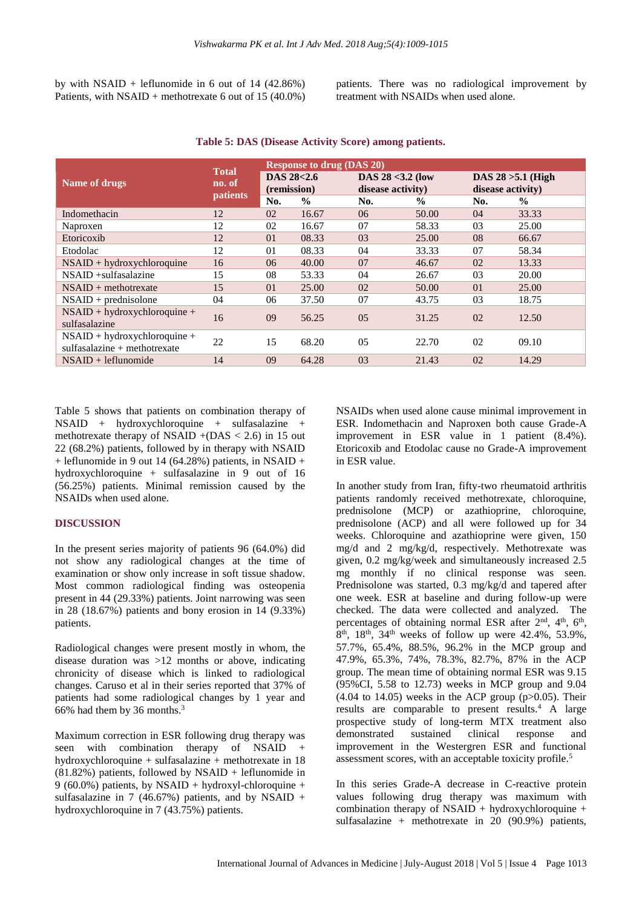by with  $NSAID$  + leflunomide in 6 out of 14 (42.86%) Patients, with NSAID + methotrexate 6 out of 15 (40.0%) patients. There was no radiological improvement by treatment with NSAIDs when used alone.

|                                                                  | <b>Total</b><br>no. of<br><b>patients</b> | <b>Response to drug (DAS 20)</b> |               |                     |               |                      |               |  |
|------------------------------------------------------------------|-------------------------------------------|----------------------------------|---------------|---------------------|---------------|----------------------|---------------|--|
| Name of drugs                                                    |                                           | DAS 28<2.6                       |               | DAS $28 < 3.2$ (low |               | DAS $28 > 5.1$ (High |               |  |
|                                                                  |                                           | (remission)                      |               | disease activity)   |               | disease activity)    |               |  |
|                                                                  |                                           | No.                              | $\frac{6}{9}$ | No.                 | $\frac{0}{0}$ | No.                  | $\frac{6}{9}$ |  |
| Indomethacin                                                     | 12                                        | 02                               | 16.67         | 06                  | 50.00         | 04                   | 33.33         |  |
| Naproxen                                                         | 12                                        | 02                               | 16.67         | 07                  | 58.33         | 03                   | 25.00         |  |
| Etoricoxib                                                       | 12                                        | 01                               | 08.33         | 03                  | 25.00         | 08                   | 66.67         |  |
| Etodolac                                                         | 12                                        | 01                               | 08.33         | 04                  | 33.33         | 07                   | 58.34         |  |
| $NSAID + hydroxychloroquire$                                     | 16                                        | 06                               | 40.00         | 07                  | 46.67         | 02                   | 13.33         |  |
| $NSAID + sulfasalazine$                                          | 15                                        | 08                               | 53.33         | 04                  | 26.67         | 03                   | 20.00         |  |
| $NSAID + method$ rexate                                          | 15                                        | 01                               | 25.00         | 02                  | 50.00         | 01                   | 25.00         |  |
| $NSAID + prednisolone$                                           | 04                                        | 06                               | 37.50         | 07                  | 43.75         | 03                   | 18.75         |  |
| $NSAID + hydroxychloroquire +$<br>sulfasalazine                  | 16                                        | 09                               | 56.25         | 05                  | 31.25         | 02                   | 12.50         |  |
|                                                                  |                                           |                                  |               |                     |               |                      |               |  |
| $NSAID + hydroxychloroquire +$<br>$sulfasalazine + methotrexate$ | 22                                        | 15                               | 68.20         | 05                  | 22.70         | 02                   | 09.10         |  |
| $NSAID + leftunomide$                                            | 14                                        | 09                               | 64.28         | 03                  | 21.43         | 02                   | 14.29         |  |
|                                                                  |                                           |                                  |               |                     |               |                      |               |  |

**Table 5: DAS (Disease Activity Score) among patients.**

Table 5 shows that patients on combination therapy of NSAID + hydroxychloroquine + sulfasalazine + methotrexate therapy of NSAID  $+(DAS < 2.6)$  in 15 out 22 (68.2%) patients, followed by in therapy with NSAID  $+$  leflunomide in 9 out 14 (64.28%) patients, in NSAID  $+$ hydroxychloroquine + sulfasalazine in 9 out of 16 (56.25%) patients. Minimal remission caused by the NSAIDs when used alone.

#### **DISCUSSION**

In the present series majority of patients 96 (64.0%) did not show any radiological changes at the time of examination or show only increase in soft tissue shadow. Most common radiological finding was osteopenia present in 44 (29.33%) patients. Joint narrowing was seen in 28 (18.67%) patients and bony erosion in 14 (9.33%) patients.

Radiological changes were present mostly in whom, the disease duration was >12 months or above, indicating chronicity of disease which is linked to radiological changes. Caruso et al in their series reported that 37% of patients had some radiological changes by 1 year and 66% had them by 36 months.<sup>3</sup>

Maximum correction in ESR following drug therapy was seen with combination therapy of NSAID + hydroxychloroquine + sulfasalazine + methotrexate in 18  $(81.82\%)$  patients, followed by NSAID + leflunomide in 9 (60.0%) patients, by NSAID + hydroxyl-chloroquine + sulfasalazine in 7 (46.67%) patients, and by NSAID + hydroxychloroquine in 7 (43.75%) patients.

NSAIDs when used alone cause minimal improvement in ESR. Indomethacin and Naproxen both cause Grade-A improvement in ESR value in 1 patient (8.4%). Etoricoxib and Etodolac cause no Grade-A improvement in ESR value.

In another study from Iran, fifty-two rheumatoid arthritis patients randomly received methotrexate, chloroquine, prednisolone (MCP) or azathioprine, chloroquine, prednisolone (ACP) and all were followed up for 34 weeks. Chloroquine and azathioprine were given, 150 mg/d and 2 mg/kg/d, respectively. Methotrexate was given, 0.2 mg/kg/week and simultaneously increased 2.5 mg monthly if no clinical response was seen. Prednisolone was started, 0.3 mg/kg/d and tapered after one week. ESR at baseline and during follow-up were checked. The data were collected and analyzed. The percentages of obtaining normal ESR after 2<sup>nd</sup>, 4<sup>th</sup>, 6<sup>th</sup>, 8<sup>th</sup>, 18<sup>th</sup>, 34<sup>th</sup> weeks of follow up were 42.4%, 53.9%, 57.7%, 65.4%, 88.5%, 96.2% in the MCP group and 47.9%, 65.3%, 74%, 78.3%, 82.7%, 87% in the ACP group. The mean time of obtaining normal ESR was 9.15 (95%CI, 5.58 to 12.73) weeks in MCP group and 9.04  $(4.04 \text{ to } 14.05)$  weeks in the ACP group  $(p>0.05)$ . Their results are comparable to present results.<sup>4</sup> A large prospective study of long-term MTX treatment also demonstrated sustained clinical response and improvement in the Westergren ESR and functional assessment scores, with an acceptable toxicity profile.<sup>5</sup>

In this series Grade-A decrease in C-reactive protein values following drug therapy was maximum with combination therapy of NSAID + hydroxychloroquine + sulfasalazine + methotrexate in  $20$  (90.9%) patients,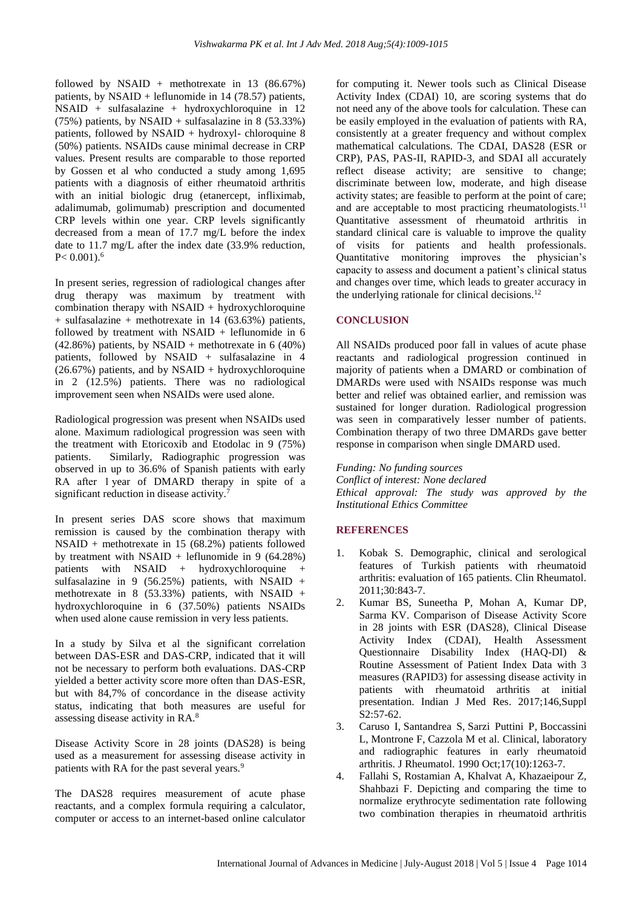followed by NSAID + methotrexate in 13  $(86.67%)$ patients, by NSAID + leflunomide in 14 (78.57) patients, NSAID + sulfasalazine + hydroxychloroquine in 12 (75%) patients, by NSAID + sulfasalazine in 8 (53.33%) patients, followed by NSAID + hydroxyl- chloroquine 8 (50%) patients. NSAIDs cause minimal decrease in CRP values. Present results are comparable to those reported by Gossen et al who conducted a study among 1,695 patients with a diagnosis of either rheumatoid arthritis with an initial biologic drug (etanercept, infliximab, adalimumab, golimumab) prescription and documented CRP levels within one year. CRP levels significantly decreased from a mean of 17.7 mg/L before the index date to 11.7 mg/L after the index date (33.9% reduction,  $P < 0.001$ .<sup>6</sup>

In present series, regression of radiological changes after drug therapy was maximum by treatment with combination therapy with  $NSAID + hydroxychloroquire$ + sulfasalazine + methotrexate in 14 (63.63%) patients, followed by treatment with  $NSAID$  + leflunomide in 6  $(42.86\%)$  patients, by NSAID + methotrexate in 6 (40%) patients, followed by NSAID + sulfasalazine in 4  $(26.67%)$  patients, and by NSAID + hydroxychloroquine in 2 (12.5%) patients. There was no radiological improvement seen when NSAIDs were used alone.

Radiological progression was present when NSAIDs used alone. Maximum radiological progression was seen with the treatment with Etoricoxib and Etodolac in 9 (75%) patients. Similarly, Radiographic progression was observed in up to 36.6% of Spanish patients with early RA after 1 year of DMARD therapy in spite of a significant reduction in disease activity. $\overline{7}$ 

In present series DAS score shows that maximum remission is caused by the combination therapy with NSAID + methotrexate in 15 (68.2%) patients followed by treatment with  $NSAID$  + leflunomide in 9 (64.28%) patients with NSAID + hydroxychloroquine + sulfasalazine in 9 (56.25%) patients, with NSAID + methotrexate in 8 (53.33%) patients, with NSAID + hydroxychloroquine in 6 (37.50%) patients NSAIDs when used alone cause remission in very less patients.

In a study by Silva et al the significant correlation between DAS-ESR and DAS-CRP, indicated that it will not be necessary to perform both evaluations. DAS-CRP yielded a better activity score more often than DAS-ESR, but with 84,7% of concordance in the disease activity status, indicating that both measures are useful for assessing disease activity in RA.<sup>8</sup>

Disease Activity Score in 28 joints (DAS28) is being used as a measurement for assessing disease activity in patients with RA for the past several years.<sup>9</sup>

The DAS28 requires measurement of acute phase reactants, and a complex formula requiring a calculator, computer or access to an internet-based online calculator for computing it. Newer tools such as Clinical Disease Activity Index (CDAI) 10, are scoring systems that do not need any of the above tools for calculation. These can be easily employed in the evaluation of patients with RA, consistently at a greater frequency and without complex mathematical calculations. The CDAI, DAS28 (ESR or CRP), PAS, PAS-II, RAPID-3, and SDAI all accurately reflect disease activity; are sensitive to change; discriminate between low, moderate, and high disease activity states; are feasible to perform at the point of care; and are acceptable to most practicing rheumatologists.<sup>11</sup> Quantitative assessment of rheumatoid arthritis in standard clinical care is valuable to improve the quality of visits for patients and health professionals. Quantitative monitoring improves the physician's capacity to assess and document a patient's clinical status and changes over time, which leads to greater accuracy in the underlying rationale for clinical decisions. $^{12}$ 

## **CONCLUSION**

All NSAIDs produced poor fall in values of acute phase reactants and radiological progression continued in majority of patients when a DMARD or combination of DMARDs were used with NSAIDs response was much better and relief was obtained earlier, and remission was sustained for longer duration. Radiological progression was seen in comparatively lesser number of patients. Combination therapy of two three DMARDs gave better response in comparison when single DMARD used.

*Funding: No funding sources*

*Conflict of interest: None declared Ethical approval: The study was approved by the Institutional Ethics Committee*

## **REFERENCES**

- 1. Kobak S. Demographic, clinical and serological features of Turkish patients with rheumatoid arthritis: evaluation of 165 patients. Clin Rheumatol. 2011;30:843-7.
- 2. Kumar BS, Suneetha P, Mohan A, Kumar DP, Sarma KV. Comparison of Disease Activity Score in 28 joints with ESR (DAS28), Clinical Disease Activity Index (CDAI), Health Assessment Questionnaire Disability Index (HAQ-DI) & Routine Assessment of Patient Index Data with 3 measures (RAPID3) for assessing disease activity in patients with rheumatoid arthritis at initial presentation. Indian J Med Res. 2017;146,Suppl S2:57-62.
- 3. Caruso I, [Santandrea S,](https://www.ncbi.nlm.nih.gov/pubmed/?term=Santandrea%20S%5BAuthor%5D&cauthor=true&cauthor_uid=2254883) [Sarzi Puttini P,](https://www.ncbi.nlm.nih.gov/pubmed/?term=Sarzi%20Puttini%20P%5BAuthor%5D&cauthor=true&cauthor_uid=2254883) [Boccassini](https://www.ncbi.nlm.nih.gov/pubmed/?term=Boccassini%20L%5BAuthor%5D&cauthor=true&cauthor_uid=2254883)  [L,](https://www.ncbi.nlm.nih.gov/pubmed/?term=Boccassini%20L%5BAuthor%5D&cauthor=true&cauthor_uid=2254883) [Montrone F,](https://www.ncbi.nlm.nih.gov/pubmed/?term=Montrone%20F%5BAuthor%5D&cauthor=true&cauthor_uid=2254883) [Cazzola M](https://www.ncbi.nlm.nih.gov/pubmed/?term=Cazzola%20M%5BAuthor%5D&cauthor=true&cauthor_uid=2254883) et al. Clinical, laboratory and radiographic features in early rheumatoid arthritis. [J Rheumatol.](https://www.ncbi.nlm.nih.gov/pubmed/2254883) 1990 Oct;17(10):1263-7.
- 4. Fallahi S, Rostamian A, Khalvat A, Khazaeipour Z, Shahbazi F. Depicting and comparing the time to normalize erythrocyte sedimentation rate following two combination therapies in rheumatoid arthritis